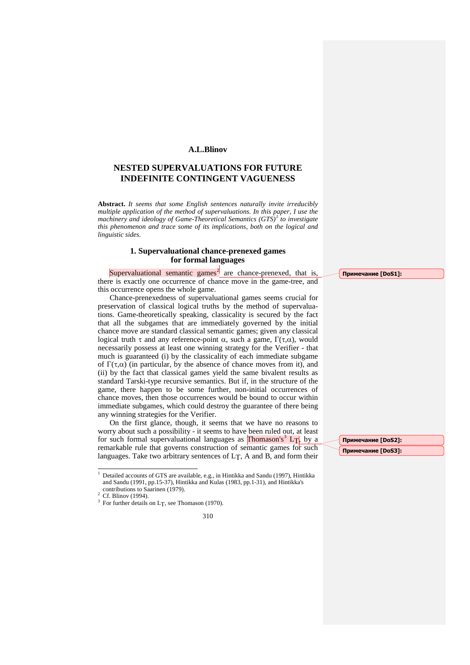### **A.L.Blinov**

# **NESTED SUPERVALUATIONS FOR FUTURE INDEFINITE CONTINGENT VAGUENESS**

**Abstract.** *It seems that some English sentences naturally invite irreducibly multiple application of the method of supervaluations. In this paper, I use the machinery and ideology of Game-Theoretical Semantics (GTS)[1](#page-0-0) to investigate this phenomenon and trace some of its implications, both on the logical and linguistic sides.*

## **1. Supervaluational chance-prenexed games for formal languages**

Supervaluational semantic games<sup>[2](#page-0-1)</sup> are chance-prenexed, that is, there is exactly one occurrence of chance move in the game-tree, and this occurrence opens the whole game.

Chance-prenexedness of supervaluational games seems crucial for preservation of classical logical truths by the method of supervaluations. Game-theoretically speaking, classicality is secured by the fact that all the subgames that are immediately governed by the initial chance move are standard classical semantic games; given any classical logical truth τ and any reference-point  $\alpha$ , such a game,  $\Gamma(\tau,\alpha)$ , would necessarily possess at least one winning strategy for the Verifier - that much is guaranteed (i) by the classicality of each immediate subgame of  $\Gamma(\tau,\alpha)$  (in particular, by the absence of chance moves from it), and (ii) by the fact that classical games yield the same bivalent results as standard Tarski-type recursive semantics. But if, in the structure of the game, there happen to be some further, non-initial occurrences of chance moves, then those occurrences would be bound to occur within immediate subgames, which could destroy the guarantee of there being any winning strategies for the Verifier.

On the first glance, though, it seems that we have no reasons to worry about such a possibility - it seems to have been ruled out, at least for such formal supervaluational languages as  $Thomason's<sup>3</sup> LT$  $Thomason's<sup>3</sup> LT$  $Thomason's<sup>3</sup> LT$ , by a remarkable rule that governs construction of semantic games for such languages. Take two arbitrary sentences of  $LT$ , A and B, and form their

310

**Примечание [DoS1]:** 

**Примечание [DoS2]: Примечание [DoS3]:** 

<sup>1</sup> Detailed accounts of GTS are available, e.g., in Hintikka and Sandu (1997), Hintikka and Sandu (1991, pp.15-37), Hintikka and Kulas (1983, pp.1-31), and Hintikka's j

<span id="page-0-2"></span><span id="page-0-1"></span><span id="page-0-0"></span><sup>&</sup>lt;sup>2</sup> Cf. Blinov (1994). <sup>3</sup> For further details on L<sub>T</sub>, see Thomason (1970).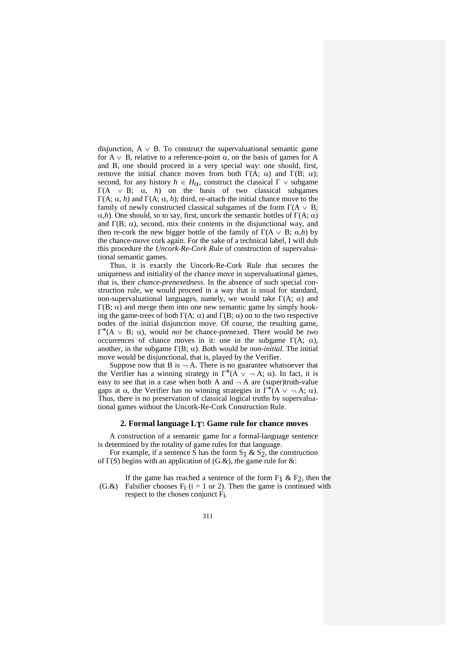disjunction,  $A \vee B$ . To construct the supervaluational semantic game for A  $\vee$  B, relative to a reference-point  $\alpha$ , on the basis of games for A and B, one should proceed in a very special way: one should, first, remove the initial chance moves from both  $Γ(A; α)$  and  $Γ(B; α)$ ; second, for any history  $h \in H_{\alpha}$ , construct the classical  $\Gamma \vee$  subgame Γ(A  $\vee$  B;  $\alpha$ , *h*) on the basis of two classical subgames Γ(A; α, *h*) and Γ(A; α, *h*); third, re-attach the initial chance move to the family of newly constructed classical subgames of the form  $\Gamma(A \vee B;$ α,*h*). One should, so to say, first, uncork the semantic bottles of Γ(A; α) and  $\Gamma(B; \alpha)$ , second, mix their contents in the disjunctional way, and then re-cork the new bigger bottle of the family of  $\Gamma$ (A  $\vee$  B; α,*h*) by the chance-move cork again. For the sake of a technical label, I will dub this procedure the *Uncork-Re-Cork Rule* of construction of supervaluational semantic games.

Thus, it is exactly the Uncork-Re-Cork Rule that secures the uniqueness and initiality of the chance move in supervaluational games, that is, their *chance-prenexedness*. In the absence of such special construction rule, we would proceed in a way that is usual for standard, non-supervaluational languages, namely, we would take  $Γ(A; α)$  and  $Γ$ (B;  $α$ ) and merge them into one new semantic game by simply hooking the game-trees of both  $\Gamma(A; \alpha)$  and  $\Gamma(B; \alpha)$  on to the two respective nodes of the initial disjunction move. Of course, the resulting game, Γ∗(A ∨ B; α), would *not* be chance-prenexed. There would be *two* occurrences of chance moves in it: one in the subgame  $\Gamma(A; \alpha)$ , another, in the subgame Γ(B; α). Both would be *non-initial*. The initial move would be disjunctional, that is, played by the Verifier.

Suppose now that B is  $-A$ . There is no guarantee whatsoever that the Verifier has a winning strategy in  $\Gamma^*(A \vee \neg A; \alpha)$ . In fact, it is easy to see that in a case when both A and  $\neg$  A are (super)truth-value gaps at  $\alpha$ , the Verifier has no winning strategies in  $\Gamma^*\tilde{A} \vee \neg A$ ;  $\alpha$ ). Thus, there is no preservation of classical logical truths by supervaluational games without the Uncork-Re-Cork Construction Rule.

#### **2. Formal language LT: Game rule for chance moves**

A construction of a semantic game for a formal-language sentence is determined by the totality of game rules for that language.

For example, if a sentence S has the form  $S_1 \& S_2$ , the construction of Γ(S) begins with an application of (G.&), the game rule for &:

(G.&) Falsifier chooses  $F_i$  (i = 1 or 2). Then the game is continued with If the game has reached a sentence of the form  $F_1 \& F_2$ , then the respect to the chosen conjunct Fi.

311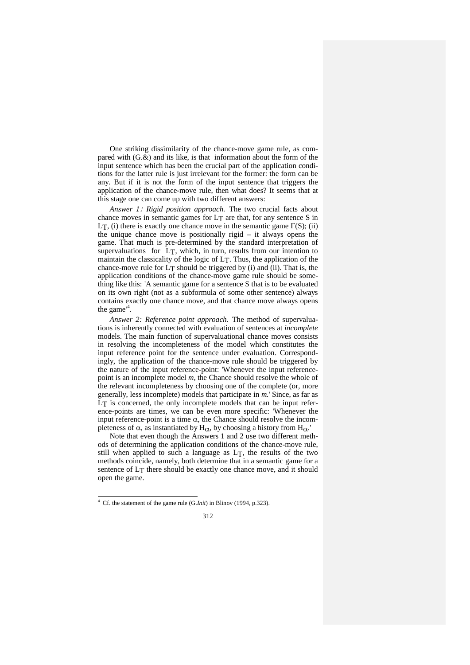One striking dissimilarity of the chance-move game rule, as compared with  $(G.\&)$  and its like, is that information about the form of the input sentence which has been the crucial part of the application conditions for the latter rule is just irrelevant for the former: the form can be any. But if it is not the form of the input sentence that triggers the application of the chance-move rule, then what does? It seems that at this stage one can come up with two different answers:

*Answer 1*: *Rigid position approach.* The two crucial facts about chance moves in semantic games for  $LT$  are that, for any sentence S in LT, (i) there is exactly one chance move in the semantic game  $Γ(S)$ ; (ii) the unique chance move is positionally rigid – it always opens the game. That much is pre-determined by the standard interpretation of supervaluations for LT, which, in turn, results from our intention to maintain the classicality of the logic of LT. Thus, the application of the chance-move rule for  $LT$  should be triggered by (i) and (ii). That is, the application conditions of the chance-move game rule should be something like this: 'A semantic game for a sentence S that is to be evaluated on its own right (not as a subformula of some other sentence) always contains exactly one chance move, and that chance move always opens the game<sup>'[4](#page-2-0)</sup>.

*Answer 2: Reference point approach.* The method of supervaluations is inherently connected with evaluation of sentences at *incomplete* models. The main function of supervaluational chance moves consists in resolving the incompleteness of the model which constitutes the input reference point for the sentence under evaluation. Correspondingly, the application of the chance-move rule should be triggered by the nature of the input reference-point: 'Whenever the input referencepoint is an incomplete model *m*, the Chance should resolve the whole of the relevant incompleteness by choosing one of the complete (or, more generally, less incomplete) models that participate in *m*.' Since, as far as L<sub>T</sub> is concerned, the only incomplete models that can be input reference-points are times, we can be even more specific: 'Whenever the input reference-point is a time α, the Chance should resolve the incompleteness of  $\alpha$ , as instantiated by H<sub>α</sub>, by choosing a history from H<sub>α</sub>.'

Note that even though the Answers 1 and 2 use two different methods of determining the application conditions of the chance-move rule, still when applied to such a language as LT, the results of the two methods coincide, namely, both determine that in a semantic game for a sentence of LT there should be exactly one chance move, and it should open the game.

#### 312

<span id="page-2-0"></span><sup>4</sup> Cf. the statement of the game rule (G.*Init*) in Blinov (1994, p.323).  $\ddot{}$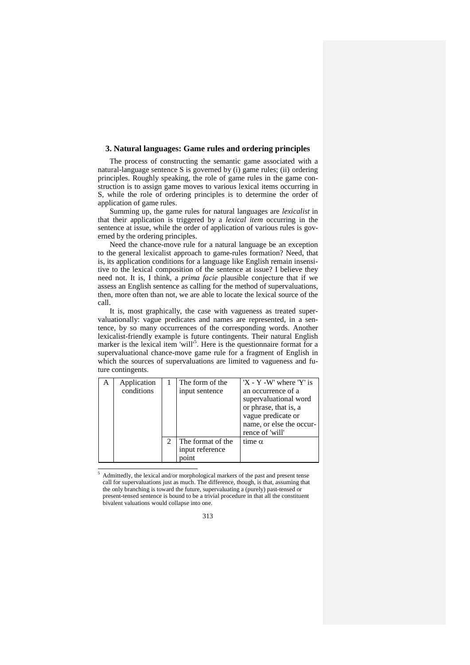#### **3. Natural languages: Game rules and ordering principles**

The process of constructing the semantic game associated with a natural-language sentence S is governed by (i) game rules; (ii) ordering principles. Roughly speaking, the role of game rules in the game construction is to assign game moves to various lexical items occurring in S, while the role of ordering principles is to determine the order of application of game rules.

Summing up, the game rules for natural languages are *lexicalist* in that their application is triggered by a *lexical item* occurring in the sentence at issue, while the order of application of various rules is governed by the ordering principles.

Need the chance-move rule for a natural language be an exception to the general lexicalist approach to game-rules formation? Need, that is, its application conditions for a language like English remain insensitive to the lexical composition of the sentence at issue? I believe they need not. It is, I think, a *prima facie* plausible conjecture that if we assess an English sentence as calling for the method of supervaluations, then, more often than not, we are able to locate the lexical source of the call.

It is, most graphically, the case with vagueness as treated supervaluationally: vague predicates and names are represented, in a sentence, by so many occurrences of the corresponding words. Another lexicalist-friendly example is future contingents. Their natural English marker is the lexical item 'will'<sup>[5](#page-3-0)</sup>. Here is the questionnaire format for a supervaluational chance-move game rule for a fragment of English in which the sources of supervaluations are limited to vagueness and future contingents.

| Application |                             | The form of the                               | $'X - Y - W'$ where $'Y'$ is                                                                                                              |
|-------------|-----------------------------|-----------------------------------------------|-------------------------------------------------------------------------------------------------------------------------------------------|
| conditions  |                             | input sentence                                | an occurrence of a<br>supervaluational word<br>or phrase, that is, a<br>vague predicate or<br>name, or else the occur-<br>rence of 'will' |
|             | $\mathcal{D}_{\mathcal{L}}$ | The format of the<br>input reference<br>point | time $\alpha$                                                                                                                             |

<span id="page-3-0"></span><sup>5</sup> Admittedly, the lexical and/or morphological markers of the past and present tense call for supervaluations just as much. The difference, though, is that, assuming that the only branching is toward the future, supervaluating a (purely) past-tensed or present-tensed sentence is bound to be a trivial procedure in that all the constituent bivalent valuations would collapse into one. j

313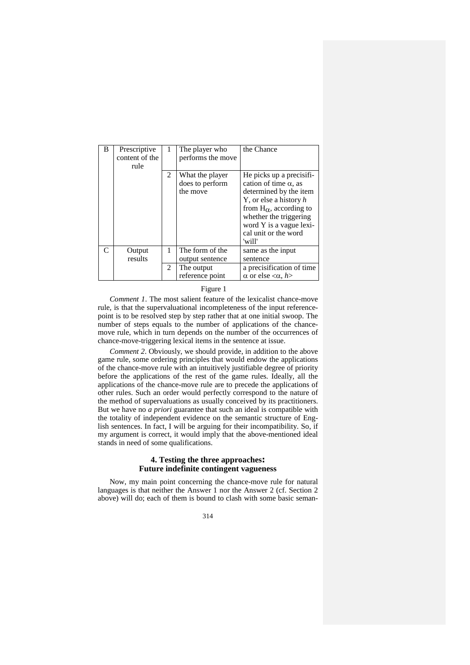| B | Prescriptive<br>content of the<br>rule | 1 | The player who<br>performs the move            | the Chance                                                                                                                                                                                                                                |
|---|----------------------------------------|---|------------------------------------------------|-------------------------------------------------------------------------------------------------------------------------------------------------------------------------------------------------------------------------------------------|
|   |                                        | 2 | What the player<br>does to perform<br>the move | He picks up a precisifi-<br>cation of time $\alpha$ , as<br>determined by the item<br>Y, or else a history $h$<br>from $H_{\alpha}$ , according to<br>whether the triggering<br>word Y is a vague lexi-<br>cal unit or the word<br>'will' |
| C | Output<br>results                      | 1 | The form of the<br>output sentence             | same as the input<br>sentence                                                                                                                                                                                                             |
|   |                                        | 2 | The output<br>reference point                  | a precisification of time<br>$\alpha$ or else $\langle \alpha, h \rangle$                                                                                                                                                                 |

### Figure 1

*Comment 1*. The most salient feature of the lexicalist chance-move rule, is that the supervaluational incompleteness of the input referencepoint is to be resolved step by step rather that at one initial swoop. The number of steps equals to the number of applications of the chancemove rule, which in turn depends on the number of the occurrences of chance-move-triggering lexical items in the sentence at issue.

*Comment 2*. Obviously, we should provide, in addition to the above game rule, some ordering principles that would endow the applications of the chance-move rule with an intuitively justifiable degree of priority before the applications of the rest of the game rules. Ideally, all the applications of the chance-move rule are to precede the applications of other rules. Such an order would perfectly correspond to the nature of the method of supervaluations as usually conceived by its practitioners. But we have no *a priori* guarantee that such an ideal is compatible with the totality of independent evidence on the semantic structure of English sentences. In fact, I will be arguing for their incompatibility. So, if my argument is correct, it would imply that the above-mentioned ideal stands in need of some qualifications.

### **4. Testing the three approaches: Future indefinite contingent vagueness**

Now, my main point concerning the chance-move rule for natural languages is that neither the Answer 1 nor the Answer 2 (cf. Section 2 above) will do; each of them is bound to clash with some basic seman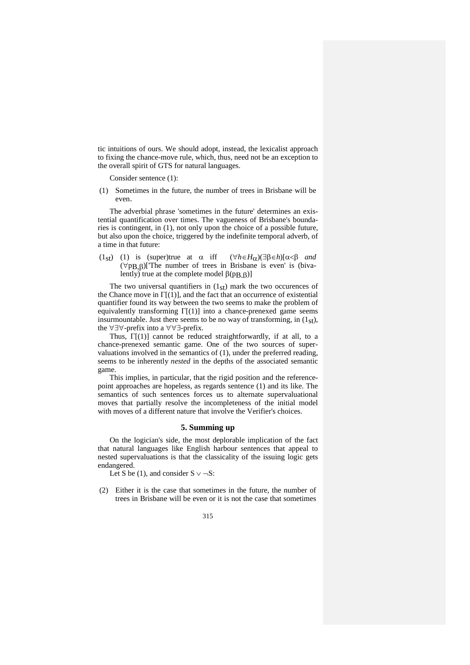tic intuitions of ours. We should adopt, instead, the lexicalist approach to fixing the chance-move rule, which, thus, need not be an exception to the overall spirit of GTS for natural languages.

Consider sentence (1):

(1) Sometimes in the future, the number of trees in Brisbane will be even.

The adverbial phrase 'sometimes in the future' determines an existential quantification over times. The vagueness of Brisbane's boundaries is contingent, in (1), not only upon the choice of a possible future, but also upon the choice, triggered by the indefinite temporal adverb, of a time in that future:

(1st) (1) is (super)true at α iff (∀*h*∈*H*α)(∃β∈*h*)[α<β *and*  $(\forall p, \beta)$ ['The number of trees in Brisbane is even' is (bivalently) true at the complete model  $β(pB,β)$ ]

The two universal quantifiers in  $(1<sub>st</sub>)$  mark the two occurences of the Chance move in  $\Gamma[(1)]$ , and the fact that an occurrence of existential quantifier found its way between the two seems to make the problem of equivalently transforming  $\Gamma(1)$ ] into a chance-prenexed game seems insurmountable. Just there seems to be no way of transforming, in  $(1<sub>st</sub>)$ , the ∀∃∀-prefix into a ∀∀∃-prefix.

Thus,  $\Gamma(1)$ ] cannot be reduced straightforwardly, if at all, to a chance-prenexed semantic game. One of the two sources of supervaluations involved in the semantics of (1), under the preferred reading, seems to be inherently *nested* in the depths of the associated semantic game.

This implies, in particular, that the rigid position and the referencepoint approaches are hopeless, as regards sentence (1) and its like. The semantics of such sentences forces us to alternate supervaluational moves that partially resolve the incompleteness of the initial model with moves of a different nature that involve the Verifier's choices.

### **5. Summing up**

On the logician's side, the most deplorable implication of the fact that natural languages like English harbour sentences that appeal to nested supervaluations is that the classicality of the issuing logic gets endangered.

Let S be (1), and consider  $S \vee \neg S$ :

- (2) Either it is the case that sometimes in the future, the number of trees in Brisbane will be even or it is not the case that sometimes
	- 315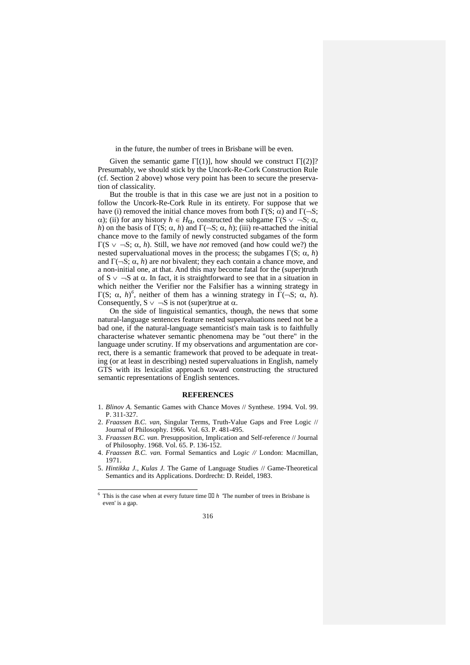in the future, the number of trees in Brisbane will be even.

Given the semantic game  $\Gamma[(1)]$ , how should we construct  $\Gamma[(2)]$ ? Presumably, we should stick by the Uncork-Re-Cork Construction Rule (cf. Section 2 above) whose very point has been to secure the preservation of classicality.

But the trouble is that in this case we are just not in a position to follow the Uncork-Re-Cork Rule in its entirety. For suppose that we have (i) removed the initial chance moves from both  $\Gamma(S; \alpha)$  and  $\Gamma(\neg S; \alpha)$ α); (ii) for any history *h* ∈ *H*<sub>α</sub>, constructed the subgame  $Γ(S ∨ ¬S; α,$ *h*) on the basis of  $\Gamma(S; \alpha, h)$  and  $\Gamma(\neg S; \alpha, h)$ ; (iii) re-attached the initial chance move to the family of newly constructed subgames of the form Γ(S ∨ ¬S; α, *h*). Still, we have *not* removed (and how could we?) the nested supervaluational moves in the process; the subgames Γ(S;  $\alpha$ , *h*) and Γ(¬S; α, *h*) are *not* bivalent; they each contain a chance move, and a non-initial one, at that. And this may become fatal for the (super)truth of  $S \vee \neg S$  at  $\alpha$ . In fact, it is straightforward to see that in a situation in which neither the Verifier nor the Falsifier has a winning strategy in Γ(S;  $\alpha$ , *h*)<sup>[6](#page-6-0)</sup>, neither of them has a winning strategy in  $\Gamma$ (¬S;  $\alpha$ , *h*). Consequently,  $S \vee \neg S$  is not (super)true at  $\alpha$ .

On the side of linguistical semantics, though, the news that some natural-language sentences feature nested supervaluations need not be a bad one, if the natural-language semanticist's main task is to faithfully characterise whatever semantic phenomena may be "out there" in the language under scrutiny. If my observations and argumentation are correct, there is a semantic framework that proved to be adequate in treating (or at least in describing) nested supervaluations in English, namely GTS with its lexicalist approach toward constructing the structured semantic representations of English sentences.

#### **REFERENCES**

- 1. *Blinov A.* Semantic Games with Chance Moves // Synthese. 1994. Vol. 99. P. 311-327.
- 2. *Fraassen B.C. van*, Singular Terms, Truth-Value Gaps and Free Logic // Journal of Philosophy. 1966. Vol. 63. P. 481-495.
- 3. *Fraassen B.C. van.* Presupposition, Implication and Self-reference // Journal of Philosophy. 1968. Vol. 65. P. 136-152.
- 4. *Fraassen B.C. van.* Formal Semantics and L*ogic //* London: Macmillan, 1971.
- 5. *Hintikka J., Kulas J.* The Game of Language Studies // Game-Theoretical Semantics and its Applications. Dordrecht: D. Reidel, 1983.

<span id="page-6-0"></span> $6$  This is the case when at every future time  $\Box$  *h* The number of trees in Brisbane is even' is a gap.  $\ddot{}$ 

<sup>316</sup>